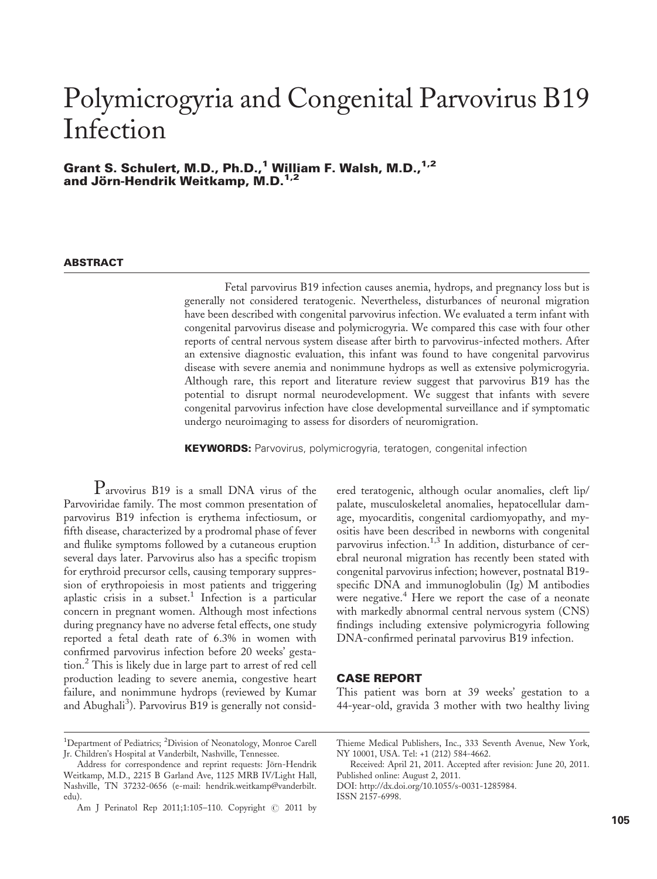# Polymicrogyria and Congenital Parvovirus B19 Infection

Grant S. Schulert, M.D., Ph.D.,<sup>1</sup> William F. Walsh, M.D.,<sup>1,2</sup> and Jörn-Hendrik Weitkamp, M.D.<sup>1,2</sup>

## **ABSTRACT**

Fetal parvovirus B19 infection causes anemia, hydrops, and pregnancy loss but is generally not considered teratogenic. Nevertheless, disturbances of neuronal migration have been described with congenital parvovirus infection. We evaluated a term infant with congenital parvovirus disease and polymicrogyria. We compared this case with four other reports of central nervous system disease after birth to parvovirus-infected mothers. After an extensive diagnostic evaluation, this infant was found to have congenital parvovirus disease with severe anemia and nonimmune hydrops as well as extensive polymicrogyria. Although rare, this report and literature review suggest that parvovirus B19 has the potential to disrupt normal neurodevelopment. We suggest that infants with severe congenital parvovirus infection have close developmental surveillance and if symptomatic undergo neuroimaging to assess for disorders of neuromigration.

**KEYWORDS:** Parvovirus, polymicrogyria, teratogen, congenital infection

Parvovirus B19 is a small DNA virus of the Parvoviridae family. The most common presentation of parvovirus B19 infection is erythema infectiosum, or fifth disease, characterized by a prodromal phase of fever and flulike symptoms followed by a cutaneous eruption several days later. Parvovirus also has a specific tropism for erythroid precursor cells, causing temporary suppression of erythropoiesis in most patients and triggering aplastic crisis in a subset.<sup>1</sup> Infection is a particular concern in pregnant women. Although most infections during pregnancy have no adverse fetal effects, one study reported a fetal death rate of 6.3% in women with confirmed parvovirus infection before 20 weeks' gestation.<sup>2</sup> This is likely due in large part to arrest of red cell production leading to severe anemia, congestive heart failure, and nonimmune hydrops (reviewed by Kumar and Abughali<sup>3</sup>). Parvovirus B19 is generally not consid-

# CASE REPORT

This patient was born at 39 weeks' gestation to a 44-year-old, gravida 3 mother with two healthy living

ered teratogenic, although ocular anomalies, cleft lip/ palate, musculoskeletal anomalies, hepatocellular damage, myocarditis, congenital cardiomyopathy, and myositis have been described in newborns with congenital parvovirus infection.<sup>1,3</sup> In addition, disturbance of cerebral neuronal migration has recently been stated with congenital parvovirus infection; however, postnatal B19 specific DNA and immunoglobulin (Ig) M antibodies were negative.<sup>4</sup> Here we report the case of a neonate with markedly abnormal central nervous system (CNS) findings including extensive polymicrogyria following DNA-confirmed perinatal parvovirus B19 infection.

<sup>&</sup>lt;sup>1</sup>Department of Pediatrics; <sup>2</sup>Division of Neonatology, Monroe Carell Jr. Children's Hospital at Vanderbilt, Nashville, Tennessee.

Address for correspondence and reprint requests: Jörn-Hendrik Weitkamp, M.D., 2215 B Garland Ave, 1125 MRB IV/Light Hall, Nashville, TN 37232-0656 (e-mail: hendrik.weitkamp@vanderbilt. edu).

Am J Perinatol Rep 2011;1:105-110. Copyright @ 2011 by

Thieme Medical Publishers, Inc., 333 Seventh Avenue, New York, NY 10001, USA. Tel: +1 (212) 584-4662.

Received: April 21, 2011. Accepted after revision: June 20, 2011. Published online: August 2, 2011.

DOI: http://dx.doi.org/10.1055/s-0031-1285984. ISSN 2157-6998.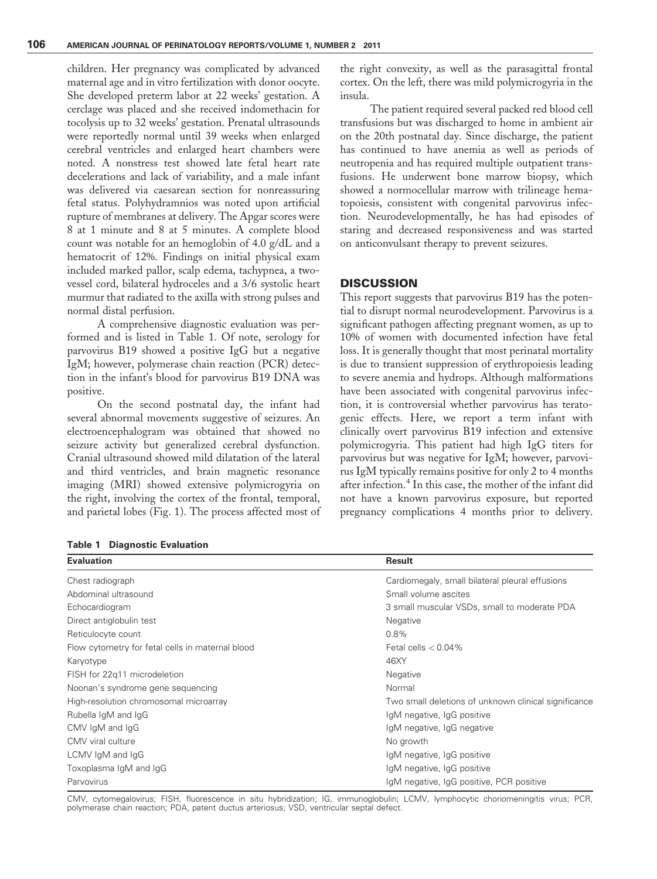children. Her pregnancy was complicated by advanced maternal age and in vitro fertilization with donor oocyte. She developed preterm labor at 22 weeks' gestation. A cerclage was placed and she received indomethacin for tocolysis up to 32 weeks' gestation. Prenatal ultrasounds were reportedly normal until 39 weeks when enlarged cerebral ventricles and enlarged heart chambers were noted. A nonstress test showed late fetal heart rate decelerations and lack of variability, and a male infant was delivered via caesarean section for nonreassuring fetal status. Polyhydramnios was noted upon artificial rupture of membranes at delivery. The Apgar scores were 8 at 1 minute and 8 at 5 minutes. A complete blood count was notable for an hemoglobin of 4.0 g/dL and a hematocrit of 12%. Findings on initial physical exam included marked pallor, scalp edema, tachypnea, a twovessel cord, bilateral hydroceles and a 3/6 systolic heart murmur that radiated to the axilla with strong pulses and normal distal perfusion.

A comprehensive diagnostic evaluation was performed and is listed in Table 1. Of note, serology for parvovirus B19 showed a positive IgG but a negative IgM; however, polymerase chain reaction (PCR) detection in the infant's blood for parvovirus B19 DNA was positive.

On the second postnatal day, the infant had several abnormal movements suggestive of seizures. An electroencephalogram was obtained that showed no seizure activity but generalized cerebral dysfunction. Cranial ultrasound showed mild dilatation of the lateral and third ventricles, and brain magnetic resonance imaging (MRI) showed extensive polymicrogyria on the right, involving the cortex of the frontal, temporal, and parietal lobes (Fig. 1). The process affected most of

the right convexity, as well as the parasagittal frontal cortex. On the left, there was mild polymicrogyria in the insula.

The patient required several packed red blood cell transfusions but was discharged to home in ambient air on the 20th postnatal day. Since discharge, the patient has continued to have anemia as well as periods of neutropenia and has required multiple outpatient transfusions. He underwent bone marrow biopsy, which showed a normocellular marrow with trilineage hematopoiesis, consistent with congenital parvovirus infection. Neurodevelopmentally, he has had episodes of staring and decreased responsiveness and was started on anticonvulsant therapy to prevent seizures.

#### **DISCUSSION**

This report suggests that parvovirus B19 has the potential to disrupt normal neurodevelopment. Parvovirus is a significant pathogen affecting pregnant women, as up to 10% of women with documented infection have fetal loss. It is generally thought that most perinatal mortality is due to transient suppression of erythropoiesis leading to severe anemia and hydrops. Although malformations have been associated with congenital parvovirus infection, it is controversial whether parvovirus has teratogenic effects. Here, we report a term infant with clinically overt parvovirus B19 infection and extensive polymicrogyria. This patient had high IgG titers for parvovirus but was negative for IgM; however, parvovirus IgM typically remains positive for only 2 to 4 months after infection.<sup>4</sup> In this case, the mother of the infant did not have a known parvovirus exposure, but reported pregnancy complications 4 months prior to delivery.

Table 1 Diagnostic Evaluation

| <b>Evaluation</b>                                | Result                                               |
|--------------------------------------------------|------------------------------------------------------|
| Chest radiograph                                 | Cardiomegaly, small bilateral pleural effusions      |
| Abdominal ultrasound                             | Small volume ascites                                 |
| Echocardiogram                                   | 3 small muscular VSDs, small to moderate PDA         |
| Direct antiglobulin test                         | <b>Negative</b>                                      |
| Reticulocyte count                               | 0.8%                                                 |
| Flow cytometry for fetal cells in maternal blood | Fetal cells $< 0.04\%$                               |
| Karyotype                                        | 46XY                                                 |
| FISH for 22q11 microdeletion                     | Negative                                             |
| Noonan's syndrome gene sequencing                | Normal                                               |
| High-resolution chromosomal microarray           | Two small deletions of unknown clinical significance |
| Rubella IgM and IgG                              | IgM negative, IgG positive                           |
| CMV IqM and IqG                                  | IgM negative, IgG negative                           |
| CMV viral culture                                | No growth                                            |
| LCMV IqM and IqG                                 | IgM negative, IgG positive                           |
| Toxoplasma IgM and IgG                           | IgM negative, IgG positive                           |
| Parvovirus                                       | IgM negative, IgG positive, PCR positive             |

CMV, cytomegalovirus; FISH, fluorescence in situ hybridization; IG, immunoglobulin; LCMV, lymphocytic choriomeningitis virus; PCR, polymerase chain reaction; PDA, patent ductus arteriosus; VSD, ventricular septal defect.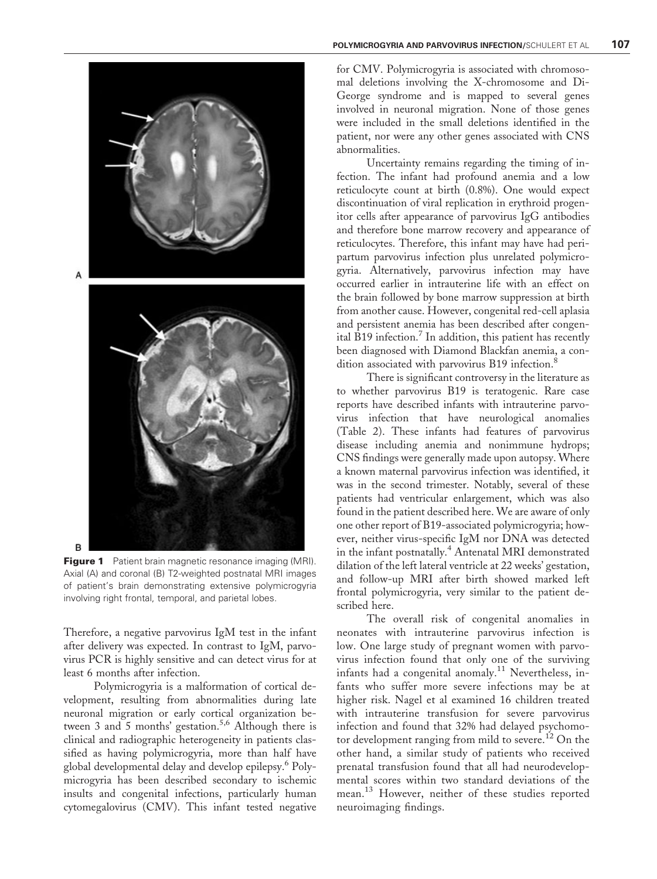

Figure 1 Patient brain magnetic resonance imaging (MRI). Axial (A) and coronal (B) T2-weighted postnatal MRI images of patient's brain demonstrating extensive polymicrogyria involving right frontal, temporal, and parietal lobes.

Therefore, a negative parvovirus IgM test in the infant after delivery was expected. In contrast to IgM, parvovirus PCR is highly sensitive and can detect virus for at least 6 months after infection.

Polymicrogyria is a malformation of cortical development, resulting from abnormalities during late neuronal migration or early cortical organization between 3 and 5 months' gestation.<sup>5,6</sup> Although there is clinical and radiographic heterogeneity in patients classified as having polymicrogyria, more than half have global developmental delay and develop epilepsy.<sup>6</sup> Polymicrogyria has been described secondary to ischemic insults and congenital infections, particularly human cytomegalovirus (CMV). This infant tested negative

for CMV. Polymicrogyria is associated with chromosomal deletions involving the X-chromosome and Di-George syndrome and is mapped to several genes involved in neuronal migration. None of those genes were included in the small deletions identified in the patient, nor were any other genes associated with CNS abnormalities.

Uncertainty remains regarding the timing of infection. The infant had profound anemia and a low reticulocyte count at birth (0.8%). One would expect discontinuation of viral replication in erythroid progenitor cells after appearance of parvovirus IgG antibodies and therefore bone marrow recovery and appearance of reticulocytes. Therefore, this infant may have had peripartum parvovirus infection plus unrelated polymicrogyria. Alternatively, parvovirus infection may have occurred earlier in intrauterine life with an effect on the brain followed by bone marrow suppression at birth from another cause. However, congenital red-cell aplasia and persistent anemia has been described after congenital B19 infection.<sup>7</sup> In addition, this patient has recently been diagnosed with Diamond Blackfan anemia, a condition associated with parvovirus B19 infection.<sup>8</sup>

There is significant controversy in the literature as to whether parvovirus B19 is teratogenic. Rare case reports have described infants with intrauterine parvovirus infection that have neurological anomalies (Table 2). These infants had features of parvovirus disease including anemia and nonimmune hydrops; CNS findings were generally made upon autopsy. Where a known maternal parvovirus infection was identified, it was in the second trimester. Notably, several of these patients had ventricular enlargement, which was also found in the patient described here. We are aware of only one other report of B19-associated polymicrogyria; however, neither virus-specific IgM nor DNA was detected in the infant postnatally.<sup>4</sup> Antenatal MRI demonstrated dilation of the left lateral ventricle at 22 weeks' gestation, and follow-up MRI after birth showed marked left frontal polymicrogyria, very similar to the patient described here.

The overall risk of congenital anomalies in neonates with intrauterine parvovirus infection is low. One large study of pregnant women with parvovirus infection found that only one of the surviving infants had a congenital anomaly.<sup>11</sup> Nevertheless, infants who suffer more severe infections may be at higher risk. Nagel et al examined 16 children treated with intrauterine transfusion for severe parvovirus infection and found that 32% had delayed psychomotor development ranging from mild to severe.<sup>12</sup> On the other hand, a similar study of patients who received prenatal transfusion found that all had neurodevelopmental scores within two standard deviations of the mean.<sup>13</sup> However, neither of these studies reported neuroimaging findings.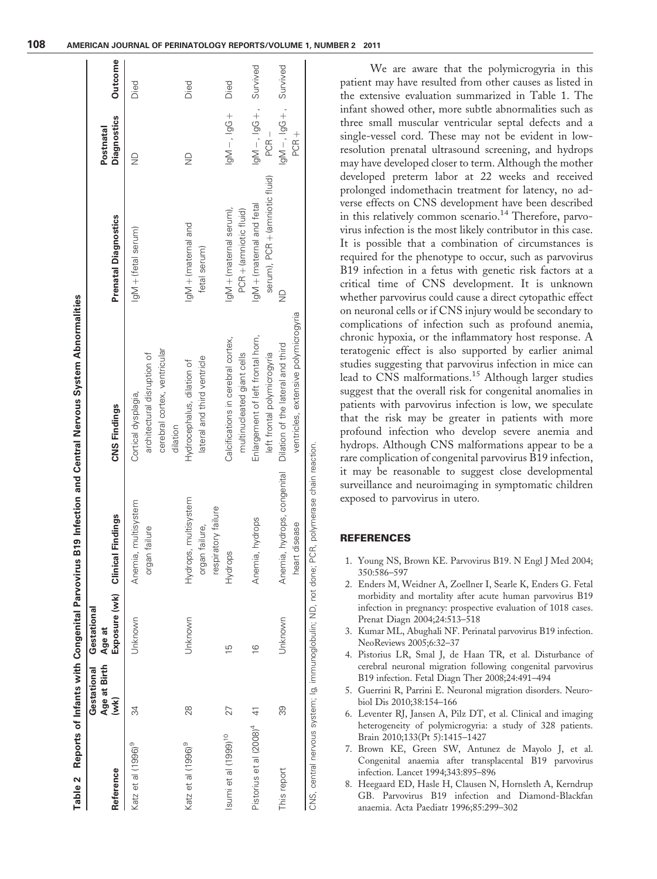|                                  | Gestational          | Gestational                      |                             |                                      |                                |                                 |         |
|----------------------------------|----------------------|----------------------------------|-----------------------------|--------------------------------------|--------------------------------|---------------------------------|---------|
| Reference                        | Age at Birth<br>(wk) | Exposure (wk) Clinical<br>Age at | Findings                    | <b>CNS Findings</b>                  | <b>Prenatal Diagnostics</b>    | <b>Diagnostics</b><br>Postnatal | Outcome |
| Katz et al (1996) <sup>9</sup>   | 34                   | Jnknown                          | multisystem<br>Anemia,      | Cortical dysplagia,                  | lgM + (fetal serum)            | $\frac{\Omega}{\Omega}$         | Died    |
|                                  |                      |                                  | failure<br>organ            | architectural disruption of          |                                |                                 |         |
|                                  |                      |                                  |                             | cerebral cortex, ventricular         |                                |                                 |         |
|                                  |                      |                                  |                             | dilation                             |                                |                                 |         |
| Katz et al (1996) <sup>9</sup>   | 28                   | Unknown                          | Hydrops, multisystem        | Hydrocephalus, dilation of           | lgM+(maternal and              | $\frac{\Omega}{\Sigma}$         | Died    |
|                                  |                      |                                  | failure,<br>organ           | lateral and third ventricle          | fetal serum)                   |                                 |         |
|                                  |                      |                                  | respiratory failure         |                                      |                                |                                 |         |
| Isumi et al (1999) <sup>10</sup> | 27                   | $\frac{5}{1}$                    | Hydrops                     | Calcifications in cerebral cortex,   | IgM+(maternal serum),          | $-190^\circ - 190^\circ$        | Died    |
|                                  |                      |                                  |                             | multinucleated giant cells           | PCR + (amniotic fluid)         |                                 |         |
| Pistorius et al $(2008)^4$ 41    |                      | $\frac{6}{1}$                    | hydrops<br>Anemia,          | Enlargement of left frontal horn,    | IgM+ (maternal and fetal       | DONINUS .+ DOI'- NOI            |         |
|                                  |                      |                                  |                             | left frontal polymicrogyria          | serum), PCR + (amniotic fluid) | $PCR -$                         |         |
| This report                      | 39                   | Unknown                          | Anemia, hydrops, congenital | Dilation of the lateral and third    | $\supseteq$                    | DONINUS .+ DOI'- NOI            |         |
|                                  |                      |                                  | heart disease               | ventricles, extensive polymicrogyria |                                | PCR <sub>+</sub>                |         |

We are aware that the polymicrogyria in this patient may have resulted from other causes as listed in the extensive evaluation summarized in Table 1. The infant showed other, more subtle abnormalities such as three small muscular ventricular septal defects and a single-vessel cord. These may not be evident in lowresolution prenatal ultrasound screening, and hydrops may have developed closer to term. Although the mother developed preterm labor at 22 weeks and received prolonged indomethacin treatment for latency, no adverse effects on CNS development have been described in this relatively common scenario.<sup>14</sup> Therefore, parvovirus infection is the most likely contributor in this case. It is possible that a combination of circumstances is required for the phenotype to occur, such as parvovirus B19 infection in a fetus with genetic risk factors at a critical time of CNS development. It is unknown whether parvovirus could cause a direct cytopathic effect on neuronal cells or if CNS injury would be secondary to complications of infection such as profound anemia, chronic hypoxia, or the inflammatory host response. A teratogenic effect is also supported by earlier animal studies suggesting that parvovirus infection in mice can lead to CNS malformations.<sup>15</sup> Although larger studies suggest that the overall risk for congenital anomalies in patients with parvovirus infection is low, we speculate that the risk may be greater in patients with more profound infection who develop severe anemia and hydrops. Although CNS malformations appear to be a rare complication of congenital parvovirus B19 infection, it may be reasonable to suggest close developmental surveillance and neuroimaging in symptomatic children exposed to parvovirus in utero.

## **REFERENCES**

- 1. Young NS, Brown KE. Parvovirus B19. N Engl J Med 2004; 350:586–597
- 2. Enders M, Weidner A, Zoellner I, Searle K, Enders G. Fetal morbidity and mortality after acute human parvovirus B19 infection in pregnancy: prospective evaluation of 1018 cases. Prenat Diagn 2004;24:513–518
- 3. Kumar ML, Abughali NF. Perinatal parvovirus B19 infection. NeoReviews 2005;6:32–37
- 4. Pistorius LR, Smal J, de Haan TR, et al. Disturbance of cerebral neuronal migration following congenital parvovirus B19 infection. Fetal Diagn Ther 2008;24:491–494
- 5. Guerrini R, Parrini E. Neuronal migration disorders. Neurobiol Dis 2010;38:154–166
- 6. Leventer RJ, Jansen A, Pilz DT, et al. Clinical and imaging heterogeneity of polymicrogyria: a study of 328 patients. Brain 2010;133(Pt 5):1415–1427
- 7. Brown KE, Green SW, Antunez de Mayolo J, et al. Congenital anaemia after transplacental B19 parvovirus infection. Lancet 1994;343:895–896
- 8. Heegaard ED, Hasle H, Clausen N, Hornsleth A, Kerndrup GB. Parvovirus B19 infection and Diamond-Blackfan anaemia. Acta Paediatr 1996;85:299–302